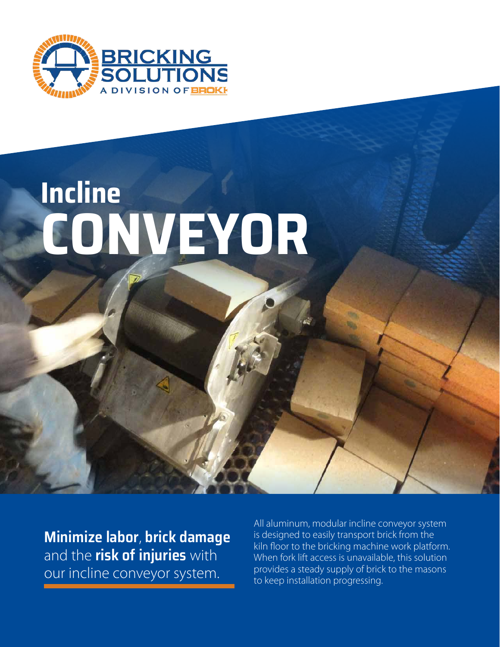

# **Incline CONVEYOR**

**Minimize labor**, **brick damage** and the **risk of injuries** with our incline conveyor system.

All aluminum, modular incline conveyor system is designed to easily transport brick from the kiln floor to the bricking machine work platform. When fork lift access is unavailable, this solution provides a steady supply of brick to the masons to keep installation progressing.